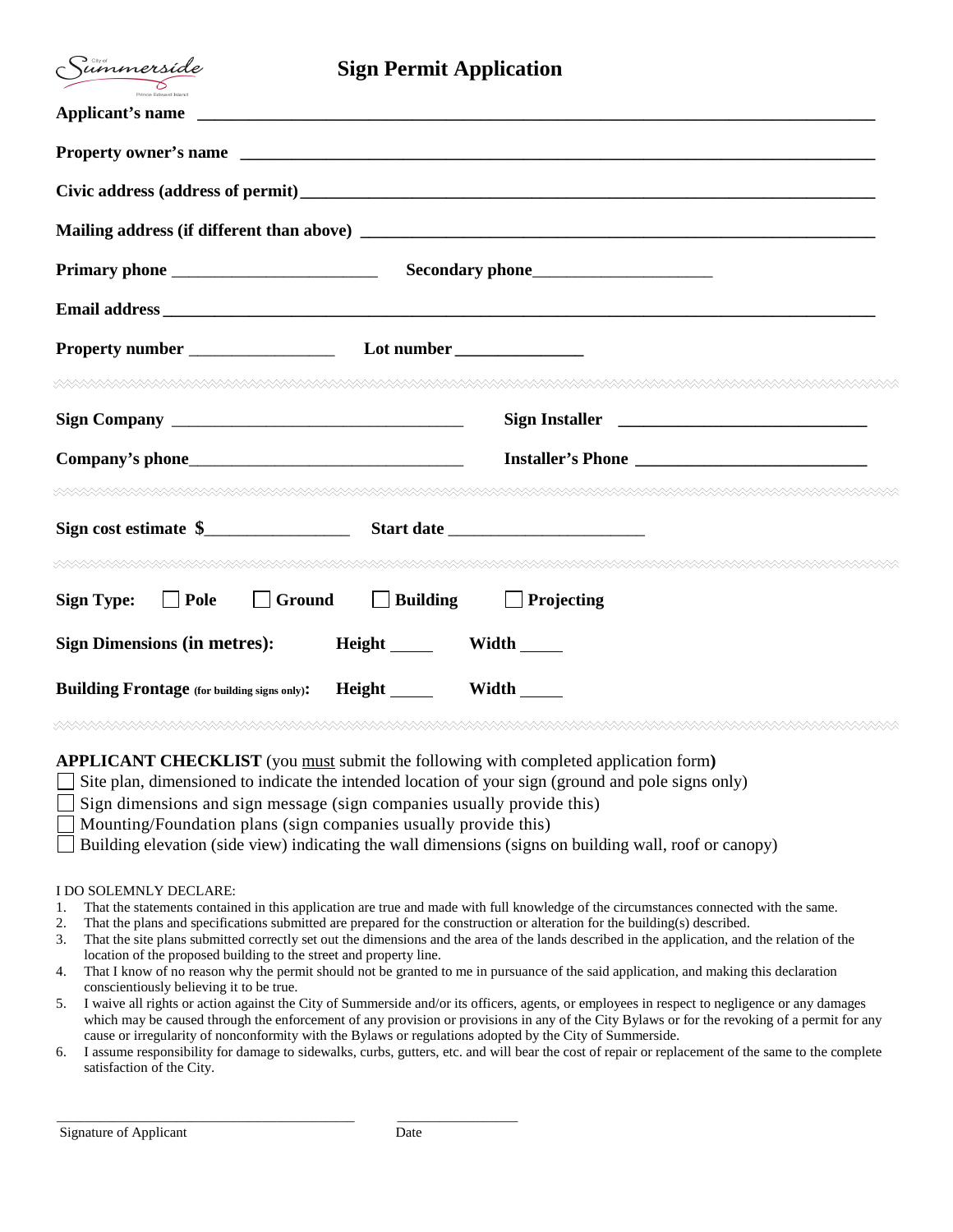| Summerside                                                                                                                                                                                       | <b>Sign Permit Application</b>         |
|--------------------------------------------------------------------------------------------------------------------------------------------------------------------------------------------------|----------------------------------------|
|                                                                                                                                                                                                  | Applicant's name                       |
|                                                                                                                                                                                                  |                                        |
|                                                                                                                                                                                                  |                                        |
|                                                                                                                                                                                                  |                                        |
|                                                                                                                                                                                                  |                                        |
|                                                                                                                                                                                                  |                                        |
|                                                                                                                                                                                                  |                                        |
|                                                                                                                                                                                                  |                                        |
|                                                                                                                                                                                                  | Sign Installer                         |
|                                                                                                                                                                                                  |                                        |
| \XXXXXXXXXXXXXXXXXXXXXXXXXXXXXXX                                                                                                                                                                 |                                        |
|                                                                                                                                                                                                  |                                        |
|                                                                                                                                                                                                  |                                        |
| $\Box$ Pole<br>$\Box$ Ground<br><b>Sign Type:</b>                                                                                                                                                | $\Box$ Building<br>$\Box$ Projecting   |
| <b>Sign Dimensions (in metres):</b>                                                                                                                                                              | Height Width                           |
| <b>Building Frontage</b> (for building signs only):                                                                                                                                              | Height <u>Landell</u><br>Width _______ |
|                                                                                                                                                                                                  |                                        |
| <b>APPLICANT CHECKLIST</b> (you must submit the following with completed application form)<br>Site plan, dimensioned to indicate the intended location of your sign (ground and pole signs only) |                                        |

- $\Box$  Sign dimensions and sign message (sign companies usually provide this)
- Mounting/Foundation plans (sign companies usually provide this)
- $\Box$  Building elevation (side view) indicating the wall dimensions (signs on building wall, roof or canopy)

## I DO SOLEMNLY DECLARE:

- 1. That the statements contained in this application are true and made with full knowledge of the circumstances connected with the same.
- 2. That the plans and specifications submitted are prepared for the construction or alteration for the building(s) described.
- 3. That the site plans submitted correctly set out the dimensions and the area of the lands described in the application, and the relation of the location of the proposed building to the street and property line.
- 4. That I know of no reason why the permit should not be granted to me in pursuance of the said application, and making this declaration conscientiously believing it to be true.
- 5. I waive all rights or action against the City of Summerside and/or its officers, agents, or employees in respect to negligence or any damages which may be caused through the enforcement of any provision or provisions in any of the City Bylaws or for the revoking of a permit for any cause or irregularity of nonconformity with the Bylaws or regulations adopted by the City of Summerside.
- 6. I assume responsibility for damage to sidewalks, curbs, gutters, etc. and will bear the cost of repair or replacement of the same to the complete satisfaction of the City.